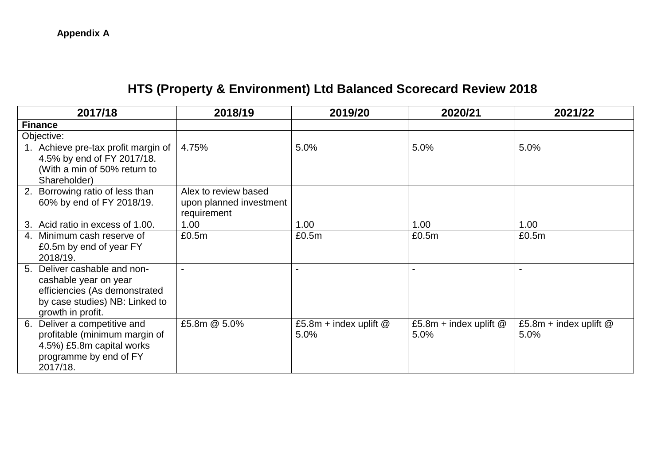## **HTS (Property & Environment) Ltd Balanced Scorecard Review 2018**

| 2017/18                                                                                                                                          | 2018/19                                                        | 2019/20                          | 2020/21                          | 2021/22                          |
|--------------------------------------------------------------------------------------------------------------------------------------------------|----------------------------------------------------------------|----------------------------------|----------------------------------|----------------------------------|
| <b>Finance</b>                                                                                                                                   |                                                                |                                  |                                  |                                  |
| Objective:                                                                                                                                       |                                                                |                                  |                                  |                                  |
| 1. Achieve pre-tax profit margin of<br>4.5% by end of FY 2017/18.<br>(With a min of 50% return to<br>Shareholder)                                | 4.75%                                                          | 5.0%                             | 5.0%                             | 5.0%                             |
| 2. Borrowing ratio of less than<br>60% by end of FY 2018/19.                                                                                     | Alex to review based<br>upon planned investment<br>requirement |                                  |                                  |                                  |
| Acid ratio in excess of 1.00.<br>3.                                                                                                              | 1.00                                                           | 1.00                             | 1.00                             | 1.00                             |
| 4. Minimum cash reserve of<br>£0.5m by end of year FY<br>2018/19.                                                                                | £0.5m                                                          | £0.5m                            | £0.5m                            | £0.5m                            |
| Deliver cashable and non-<br>5.<br>cashable year on year<br>efficiencies (As demonstrated<br>by case studies) NB: Linked to<br>growth in profit. |                                                                |                                  |                                  |                                  |
| Deliver a competitive and<br>6.<br>profitable (minimum margin of<br>4.5%) £5.8m capital works<br>programme by end of FY<br>2017/18.              | £5.8m @ 5.0%                                                   | £5.8m + index uplift $@$<br>5.0% | £5.8m + index uplift $@$<br>5.0% | £5.8m + index uplift $@$<br>5.0% |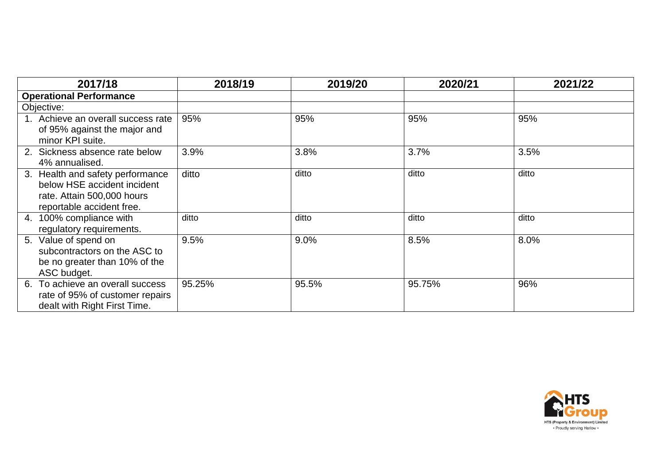| 2017/18                                                                                                                    | 2018/19 | 2019/20 | 2020/21 | 2021/22 |
|----------------------------------------------------------------------------------------------------------------------------|---------|---------|---------|---------|
| <b>Operational Performance</b>                                                                                             |         |         |         |         |
| Objective:                                                                                                                 |         |         |         |         |
| 1. Achieve an overall success rate<br>of 95% against the major and<br>minor KPI suite.                                     | 95%     | 95%     | 95%     | 95%     |
| 2. Sickness absence rate below<br>4% annualised.                                                                           | 3.9%    | 3.8%    | 3.7%    | 3.5%    |
| 3. Health and safety performance<br>below HSE accident incident<br>rate. Attain 500,000 hours<br>reportable accident free. | ditto   | ditto   | ditto   | ditto   |
| 4. 100% compliance with<br>regulatory requirements.                                                                        | ditto   | ditto   | ditto   | ditto   |
| 5. Value of spend on<br>subcontractors on the ASC to<br>be no greater than 10% of the<br>ASC budget.                       | 9.5%    | 9.0%    | 8.5%    | 8.0%    |
| To achieve an overall success<br>6.<br>rate of 95% of customer repairs<br>dealt with Right First Time.                     | 95.25%  | 95.5%   | 95.75%  | 96%     |

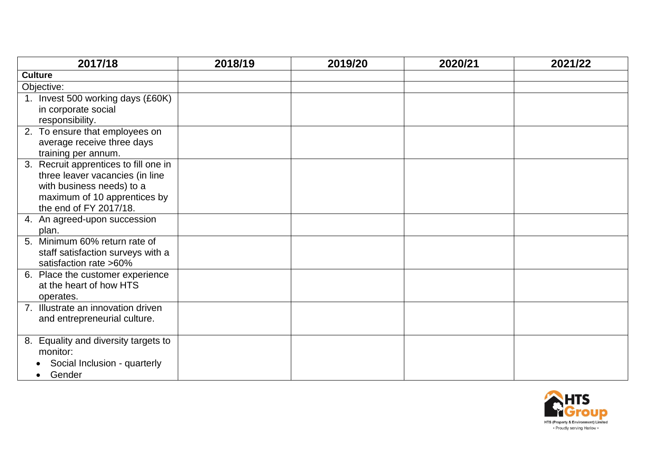| 2017/18                               | 2018/19 | 2019/20 | 2020/21 | 2021/22 |
|---------------------------------------|---------|---------|---------|---------|
| <b>Culture</b>                        |         |         |         |         |
| Objective:                            |         |         |         |         |
| 1. Invest 500 working days (£60K)     |         |         |         |         |
| in corporate social                   |         |         |         |         |
| responsibility.                       |         |         |         |         |
| 2. To ensure that employees on        |         |         |         |         |
| average receive three days            |         |         |         |         |
| training per annum.                   |         |         |         |         |
| 3. Recruit apprentices to fill one in |         |         |         |         |
| three leaver vacancies (in line       |         |         |         |         |
| with business needs) to a             |         |         |         |         |
| maximum of 10 apprentices by          |         |         |         |         |
| the end of FY 2017/18.                |         |         |         |         |
| 4. An agreed-upon succession          |         |         |         |         |
| plan.                                 |         |         |         |         |
| 5. Minimum 60% return rate of         |         |         |         |         |
| staff satisfaction surveys with a     |         |         |         |         |
| satisfaction rate >60%                |         |         |         |         |
| 6. Place the customer experience      |         |         |         |         |
| at the heart of how HTS               |         |         |         |         |
| operates.                             |         |         |         |         |
| 7. Illustrate an innovation driven    |         |         |         |         |
| and entrepreneurial culture.          |         |         |         |         |
| 8. Equality and diversity targets to  |         |         |         |         |
| monitor:                              |         |         |         |         |
| Social Inclusion - quarterly          |         |         |         |         |
| Gender                                |         |         |         |         |

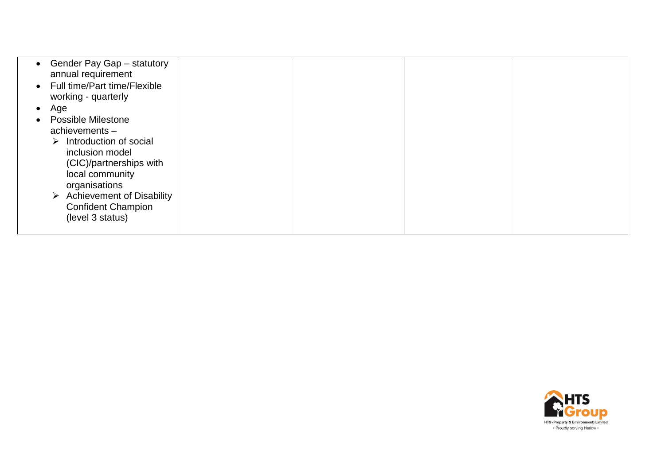|           | Gender Pay Gap - statutory<br>annual requirement<br>• Full time/Part time/Flexible                            |  |  |
|-----------|---------------------------------------------------------------------------------------------------------------|--|--|
|           | working - quarterly                                                                                           |  |  |
| $\bullet$ | Age                                                                                                           |  |  |
|           | <b>Possible Milestone</b>                                                                                     |  |  |
|           | achievements $-$                                                                                              |  |  |
|           | Introduction of social<br>➤<br>inclusion model<br>(CIC)/partnerships with<br>local community<br>organisations |  |  |
|           | $\triangleright$ Achievement of Disability<br><b>Confident Champion</b><br>(level 3 status)                   |  |  |